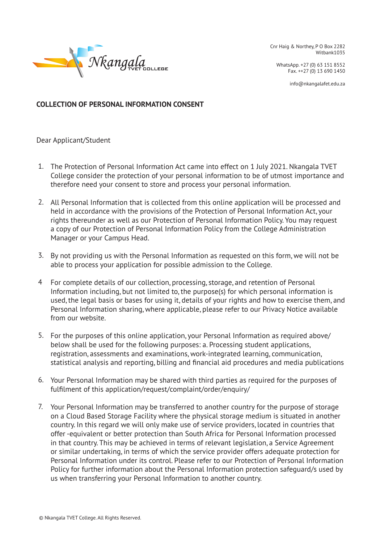

Cnr Haig & Northey, P O Box 2282 Witbank1035

WhatsApp. +27 (0) 63 151 8552 Fax. ++27 (0) 13 690 1450

info@nkangalafet.edu.za

**COLLECTION OF PERSONAL INFORMATION CONSENT**

Dear Applicant/Student

- 1. The Protection of Personal Information Act came into effect on 1 July 2021. Nkangala TVET College consider the protection of your personal information to be of utmost importance and therefore need your consent to store and process your personal information.
- 2. All Personal Information that is collected from this online application will be processed and held in accordance with the provisions of the Protection of Personal Information Act, your rights thereunder as well as our Protection of Personal Information Policy. You may request a copy of our Protection of Personal Information Policy from the College Administration Manager or your Campus Head.
- 3. By not providing us with the Personal Information as requested on this form, we will not be able to process your application for possible admission to the College.
- For complete details of our collection, processing, storage, and retention of Personal Information including, but not limited to, the purpose(s) for which personal information is used, the legal basis or bases for using it, details of your rights and how to exercise them, and Personal Information sharing, where applicable, please refer to our Privacy Notice available from our website. 4
- 5. For the purposes of this online application, your Personal Information as required above/ below shall be used for the following purposes: a. Processing student applications, registration, assessments and examinations, work-integrated learning, communication, statistical analysis and reporting, billing and financial aid procedures and media publications
- Your Personal Information may be shared with third parties as required for the purposes of 6. fulfilment of this application/request/complaint/order/enquiry/
- 7. Your Personal Information may be transferred to another country for the purpose of storage on a Cloud Based Storage Facility where the physical storage medium is situated in another country. In this regard we will only make use of service providers, located in countries that offer -equivalent or better protection than South Africa for Personal Information processed in that country. This may be achieved in terms of relevant legislation, a Service Agreement or similar undertaking, in terms of which the service provider offers adequate protection for Personal Information under its control. Please refer to our Protection of Personal Information Policy for further information about the Personal Information protection safeguard/s used by us when transferring your Personal Information to another country.